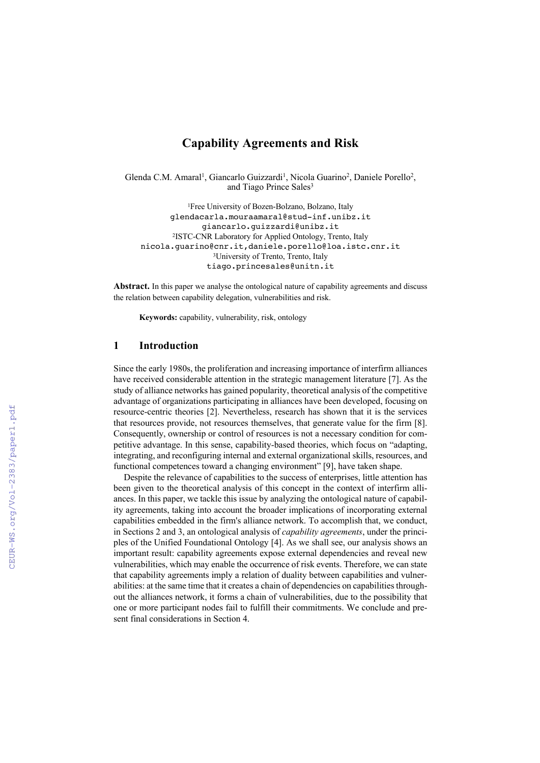# **Capability Agreements and Risk**

Glenda C.M. Amaral<sup>1</sup>, Giancarlo Guizzardi<sup>1</sup>, Nicola Guarino<sup>2</sup>, Daniele Porello<sup>2</sup>, and Tiago Prince Sales<sup>3</sup>

1Free University of Bozen-Bolzano, Bolzano, Italy glendacarla.mouraamaral@stud-inf.unibz.it giancarlo.guizzardi@unibz.it 2ISTC-CNR Laboratory for Applied Ontology, Trento, Italy nicola.guarino@cnr.it,daniele.porello@loa.istc.cnr.it 3University of Trento, Trento, Italy tiago.princesales@unitn.it

**Abstract.** In this paper we analyse the ontological nature of capability agreements and discuss the relation between capability delegation, vulnerabilities and risk.

**Keywords:** capability, vulnerability, risk, ontology

#### **1 Introduction**

Since the early 1980s, the proliferation and increasing importance of interfirm alliances have received considerable attention in the strategic management literature [7]. As the study of alliance networks has gained popularity, theoretical analysis of the competitive advantage of organizations participating in alliances have been developed, focusing on resource-centric theories [2]. Nevertheless, research has shown that it is the services that resources provide, not resources themselves, that generate value for the firm [8]. Consequently, ownership or control of resources is not a necessary condition for competitive advantage. In this sense, capability-based theories, which focus on "adapting, integrating, and reconfiguring internal and external organizational skills, resources, and functional competences toward a changing environment" [9], have taken shape.

Despite the relevance of capabilities to the success of enterprises, little attention has been given to the theoretical analysis of this concept in the context of interfirm alliances. In this paper, we tackle this issue by analyzing the ontological nature of capability agreements, taking into account the broader implications of incorporating external capabilities embedded in the firm's alliance network. To accomplish that, we conduct, in Sections 2 and 3, an ontological analysis of *capability agreements*, under the principles of the Unified Foundational Ontology [4]. As we shall see, our analysis shows an important result: capability agreements expose external dependencies and reveal new vulnerabilities, which may enable the occurrence of risk events. Therefore, we can state that capability agreements imply a relation of duality between capabilities and vulnerabilities: at the same time that it creates a chain of dependencies on capabilities throughout the alliances network, it forms a chain of vulnerabilities, due to the possibility that one or more participant nodes fail to fulfill their commitments. We conclude and present final considerations in Section 4.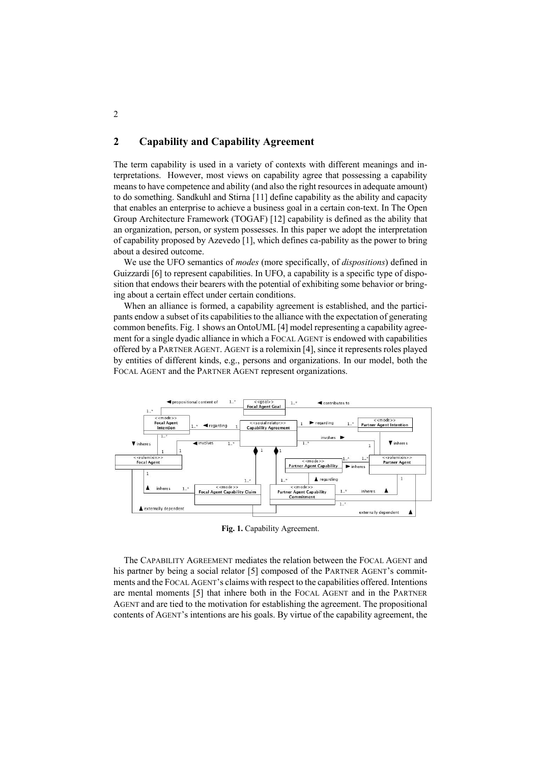## **2 Capability and Capability Agreement**

The term capability is used in a variety of contexts with different meanings and interpretations. However, most views on capability agree that possessing a capability means to have competence and ability (and also the right resources in adequate amount) to do something. Sandkuhl and Stirna [11] define capability as the ability and capacity that enables an enterprise to achieve a business goal in a certain con-text. In The Open Group Architecture Framework (TOGAF) [12] capability is defined as the ability that an organization, person, or system possesses. In this paper we adopt the interpretation of capability proposed by Azevedo [1], which defines ca-pability as the power to bring about a desired outcome.

We use the UFO semantics of *modes* (more specifically, of *dispositions*) defined in Guizzardi [6] to represent capabilities. In UFO, a capability is a specific type of disposition that endows their bearers with the potential of exhibiting some behavior or bringing about a certain effect under certain conditions.

When an alliance is formed, a capability agreement is established, and the participants endow a subset of its capabilities to the alliance with the expectation of generating common benefits. Fig. 1 shows an OntoUML [4] model representing a capability agreement for a single dyadic alliance in which a FOCAL AGENT is endowed with capabilities offered by a PARTNER AGENT. AGENT is a rolemixin [4], since it represents roles played by entities of different kinds, e.g., persons and organizations. In our model, both the FOCAL AGENT and the PARTNER AGENT represent organizations.



**Fig. 1.** Capability Agreement.

The CAPABILITY AGREEMENT mediates the relation between the FOCAL AGENT and his partner by being a social relator [5] composed of the PARTNER AGENT's commitments and the FOCAL AGENT's claims with respect to the capabilities offered. Intentions are mental moments [5] that inhere both in the FOCAL AGENT and in the PARTNER AGENT and are tied to the motivation for establishing the agreement. The propositional contents of AGENT's intentions are his goals. By virtue of the capability agreement, the

2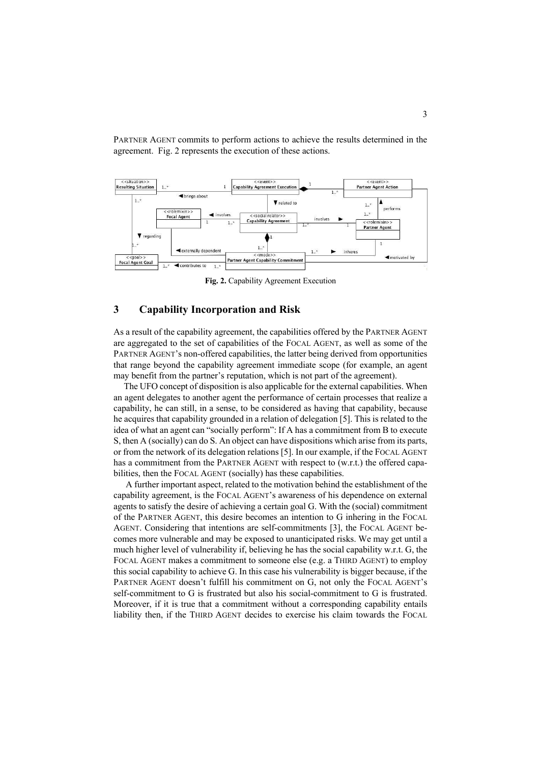

PARTNER AGENT commits to perform actions to achieve the results determined in the agreement. Fig. 2 represents the execution of these actions.

**Fig. 2.** Capability Agreement Execution

#### **3 Capability Incorporation and Risk**

As a result of the capability agreement, the capabilities offered by the PARTNER AGENT are aggregated to the set of capabilities of the FOCAL AGENT, as well as some of the PARTNER AGENT's non-offered capabilities, the latter being derived from opportunities that range beyond the capability agreement immediate scope (for example, an agent may benefit from the partner's reputation, which is not part of the agreement).

The UFO concept of disposition is also applicable for the external capabilities. When an agent delegates to another agent the performance of certain processes that realize a capability, he can still, in a sense, to be considered as having that capability, because he acquires that capability grounded in a relation of delegation [5]. This is related to the idea of what an agent can "socially perform": If A has a commitment from B to execute S, then A (socially) can do S. An object can have dispositions which arise from its parts, or from the network of its delegation relations [5]. In our example, if the FOCAL AGENT has a commitment from the PARTNER AGENT with respect to (w.r.t.) the offered capabilities, then the FOCAL AGENT (socially) has these capabilities.

A further important aspect, related to the motivation behind the establishment of the capability agreement, is the FOCAL AGENT's awareness of his dependence on external agents to satisfy the desire of achieving a certain goal G. With the (social) commitment of the PARTNER AGENT, this desire becomes an intention to G inhering in the FOCAL AGENT. Considering that intentions are self-commitments [3], the FOCAL AGENT becomes more vulnerable and may be exposed to unanticipated risks. We may get until a much higher level of vulnerability if, believing he has the social capability w.r.t. G, the FOCAL AGENT makes a commitment to someone else (e.g. a THIRD AGENT) to employ this social capability to achieve G. In this case his vulnerability is bigger because, if the PARTNER AGENT doesn't fulfill his commitment on G, not only the FOCAL AGENT's self-commitment to G is frustrated but also his social-commitment to G is frustrated. Moreover, if it is true that a commitment without a corresponding capability entails liability then, if the THIRD AGENT decides to exercise his claim towards the FOCAL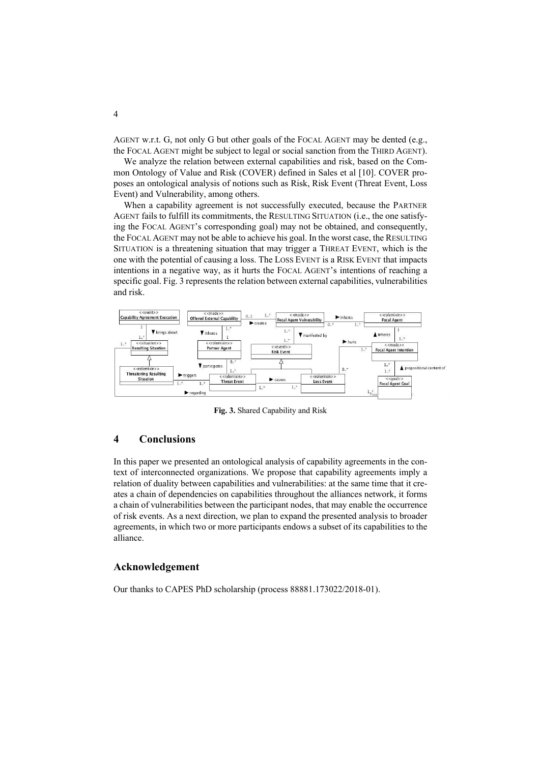AGENT w.r.t. G, not only G but other goals of the FOCAL AGENT may be dented (e.g., the FOCAL AGENT might be subject to legal or social sanction from the THIRD AGENT).

We analyze the relation between external capabilities and risk, based on the Common Ontology of Value and Risk (COVER) defined in Sales et al [10]. COVER proposes an ontological analysis of notions such as Risk, Risk Event (Threat Event, Loss Event) and Vulnerability, among others.

When a capability agreement is not successfully executed, because the PARTNER AGENT fails to fulfill its commitments, the RESULTING SITUATION (i.e., the one satisfying the FOCAL AGENT's corresponding goal) may not be obtained, and consequently, the FOCAL AGENT may not be able to achieve his goal. In the worst case, the RESULTING SITUATION is a threatening situation that may trigger a THREAT EVENT, which is the one with the potential of causing a loss. The LOSS EVENT is a RISK EVENT that impacts intentions in a negative way, as it hurts the FOCAL AGENT's intentions of reaching a specific goal. Fig. 3 represents the relation between external capabilities, vulnerabilities and risk.



**Fig. 3.** Shared Capability and Risk

### **4 Conclusions**

In this paper we presented an ontological analysis of capability agreements in the context of interconnected organizations. We propose that capability agreements imply a relation of duality between capabilities and vulnerabilities: at the same time that it creates a chain of dependencies on capabilities throughout the alliances network, it forms a chain of vulnerabilities between the participant nodes, that may enable the occurrence of risk events. As a next direction, we plan to expand the presented analysis to broader agreements, in which two or more participants endows a subset of its capabilities to the alliance.

#### **Acknowledgement**

Our thanks to CAPES PhD scholarship (process 88881.173022/2018-01).